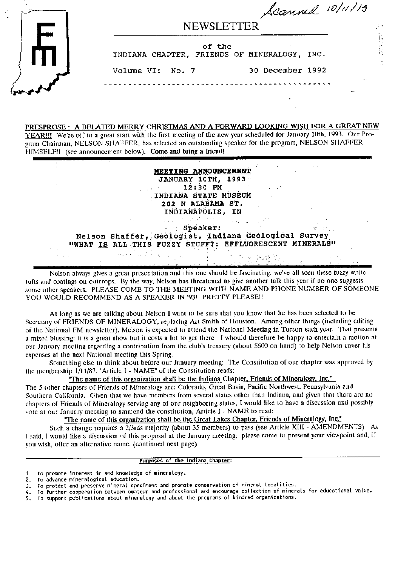|              | Scanned 10/11/15                                       |                  |  |
|--------------|--------------------------------------------------------|------------------|--|
|              | <b>NEWSLETTER</b>                                      |                  |  |
|              | of the<br>INDIANA CHAPTER, FRIENDS OF MINERALOGY, INC. |                  |  |
|              | Volume VI: No. 7                                       | 30 December 1992 |  |
| <b>NAMES</b> |                                                        |                  |  |

# PRESPROSE: A BELATED MERRY CHRISTMAS AND A FORWARD-LOOKING WISH FOR A GREAT NEW

YEAR!!! We're off to a great start with the first meeting of the new year scheduled for January 10th, 1993. Our Program Chairman, NELSON SHAFFER, has selected an outstanding speaker for the program, NELSON SHAFFER HIMSELF!! (see announcement below). Come and bring a friend!

## MEETING ANNOUNCEMENT **JANUARY 10TH, 1993** 12:30 PM INDIANA STATE MUSEUM 202 N ALABAMA ST. INDIANAPOLIS, IN

Speaker: Nelson Shaffer, Geologist, Indiana Geological Survey "WHAT IS ALL THIS FUZZY STUFF?: EFFLUORESCENT MINERALS" a 1719.<br>Alikuwa mtoka wa 17

 $\mathbb{Z}_{k-1}$ 

Nelson always gives a great presentation and this one should be fascinating; we've all seen these fuzzy white tufts and coatings on outcrops. By the way, Nelson has threatened to give another talk this year if no one suggests some other speakers. PLEASE COME TO THE MEETING WITH NAME AND PHONE NUMBER OF SOMEONE YOU WOULD RECOMMEND AS A SPEAKER IN '93! PRETTY PLEASE !!

As long as we are talking about Nelson I want to be sure that you know that he has been selected to be Secretary of FRIENDS OF MINERALOGY, replacing Art Smith of Houston. Among other things (including editing of the National FM newsletter), Melson is expected to attend the National Meeting in Tucson each year. That presents a mixed blessing: it is a great show but it costs a lot to get there. I whould therefore be happy to entertain a motion at our January meeting regarding a contribution from the club's treasury (about \$600 on hand) to help Nelson cover his expenses at the next National meeting this Spring.

Something else to think about before our January meeting: The Constitution of our chapter was approved by the membership 1/11/87. "Article I - NAME" of the Constitution reads:

"The name of this organization shall be the Indiana Chapter, Friends of Mineralogy, Inc."

The 5 other chapters of Friends of Mineralogy are: Colorado, Great Basin, Pacific Northwest, Pennsylvania and Southern California. Given that we have members from several states other than Indiana, and given that there are no chapters of Friends of Mineralogy serving any of our neighboring states, I would like to have a discussion and possibly vote at our January meeting to ammend the constitution, Article I - NAME to read:

"The name of this organization shall be the Great Lakes Chapter, Friends of Mineralogy, Inc."

Such a change requires a 2/3rds majority (about 35 members) to pass (see Article XIII - AMENDMENTS). As I said, I would like a discussion of this proposal at the January meeting; please come to present your viewpoint and, if you wish, offer an alternative name. (continued next page)

Purposes of the Indiana Chapter:

<sup>1.</sup> To promote interest in and knowledge of mineralogy.

<sup>2.</sup> To advance mineralogical education.

<sup>3.</sup> To protect and preserve mineral specimens and promote conservation of mineral localities.

<sup>4.</sup> To further cooperation between amateur and professional and encourage collection of minerals for educational value.

<sup>5.</sup> To support publications about mineralogy and about the programs of kindred organizations.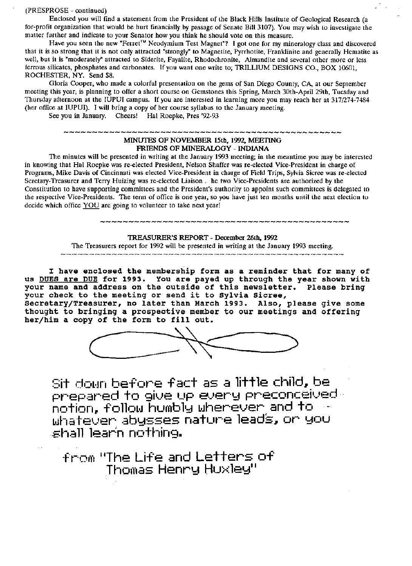(PRESPROSE - continued)

Enclosed you will find a statement from the President of the Black Hills Institute of Geological Research (a for-profit organization that would be hurt financially by passage of Senate Bill 3107). You may wish to investigate the matter further and indicate to your Senator how you think he should vote on this measure.

Have you seen the new "Ferret<sup>™</sup> Neodymium Test Magnet"? I got one for my mineralogy class and discovered that it is so strong that it is not only attracted "strongly" to Magnetite, Pyrrhotite, Franklinite and generally Hematite as well, but it is "moderately" attracted to Siderite, Fayalite, Rhodochronite, Almandite and several other more or less ferrous silicates, phosphates and carbonates. If you want one write to; TRILLIUM DESIGNS CO., BOX 10601, ROCHESTER, NY. Send \$8.

Gloria Cooper, who made a colorful presentation on the gems of San Diego County, CA at our September meeting this year, is planning to offer a short course on Gemstones this Spring, March 30th-April 29th, Tuesday and Thursday afternoon at the IUPUI campus. If you are interested in learning more you may reach her at 317/274-7484 (her office at IUPUI). I will bring a copy of her course syllabus to the January meeting.

See you in January. Cheers! Hal Roepke, Pres '92-93

# MINUTES OF NOVEMBER 15th, 199Z, MEEITING FRIENDS 0F MINERALOGY - INDIANA

The minutes will be presented in writing at the January 1993 meeting; in the meantime you may be interested in knowing that Hal Roepke was re-elected President, Nelson Shaffer was re-elected Vice-President in charge of Programs, Mike Davis of Cincinnati was elected Vice-President in charge of Field Trips, Sylvia Sicree was re-elected Seretary-Treasurer and Terry Huizing was re-elected Liaison . he two Vice-Presidents are authorized by the Constitution to have supporting committees and the President's authority to appoint such committees is delegated to the respective Vice-Presidents. The term of office is one year, so you have just ten months until the next election to decide which office YOU are going to volunteer to take next year!

## TREASURER'S REPORT - December 26th, 1992

The Treasurers report for 1992 will be presented in writing at the January 1993 meeting. \_\_\_\_\_\_\_\_\_\_\_\_\_\_\_\_\_\_\_\_\_\_\_\_\_\_

I have enclosed the membership form as a reminder that for many of us DUES are DUE for 1993. You are payed up through the year shown with your name and address on the outside of this newsletter. Please bring your check to the meeting or send it to Sylvia Sicree, Secretary/Treasurer, no later than March 1993. Also, please give some

thought to bringing a prospective member to our meetings and offering her/him a copy of the form to fill out.



Sit down before fact as a little child, be  $\overline{\phantom{a}}$ brebared to gins ith shard breconceined . notion, follow humbly wherever and to  $\sim$ Whatever abysses nature leads, or you  $\epsilon$ hall learín nothing.

 $f_{\rm FOM}$  "The Life and Letters of  $Thomas$  Henry  $Huxley''$